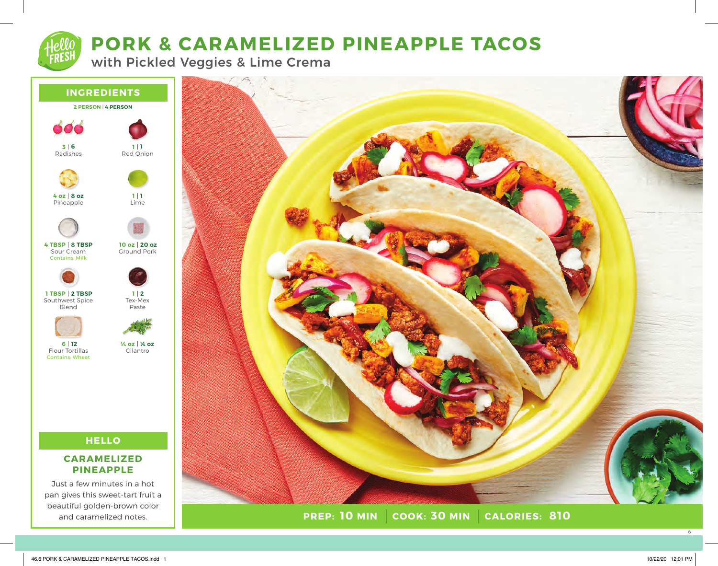# **PORK & CARAMELIZED PINEAPPLE TACOS**

with Pickled Veggies & Lime Crema



## **CARAMELIZED PINEAPPLE**

Just a few minutes in a hot pan gives this sweet-tart fruit a beautiful golden-brown color and caramelized notes.



**PREP: 10 MIN COOK: 30 MIN 10 MIN 30 MIN 810**

6